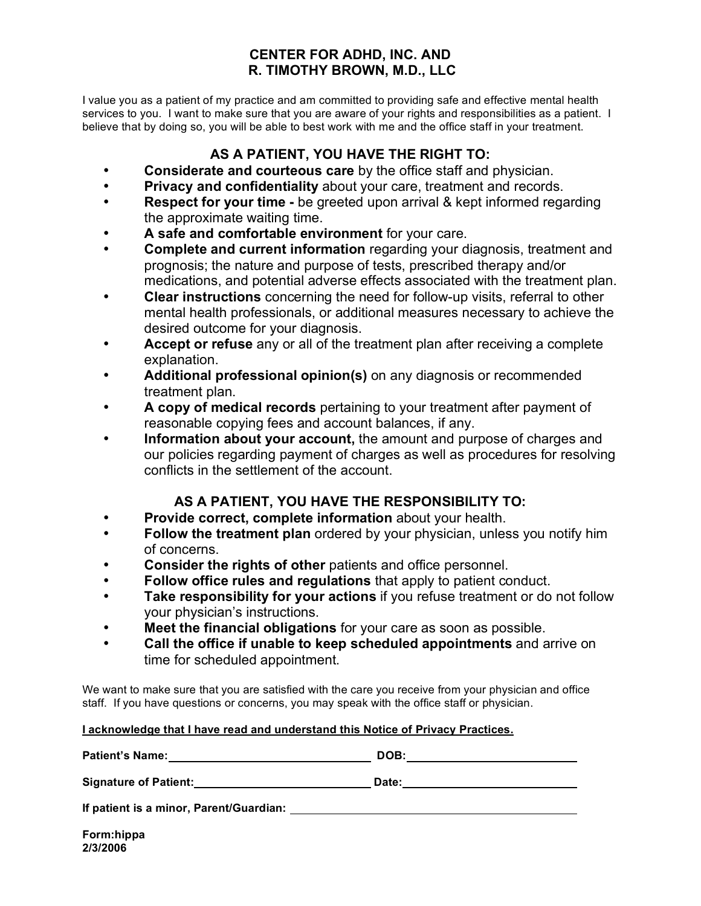### **CENTER FOR ADHD, INC. AND R. TIMOTHY BROWN, M.D., LLC**

I value you as a patient of my practice and am committed to providing safe and effective mental health services to you. I want to make sure that you are aware of your rights and responsibilities as a patient. I believe that by doing so, you will be able to best work with me and the office staff in your treatment.

## **AS A PATIENT, YOU HAVE THE RIGHT TO:**

- **Considerate and courteous care** by the office staff and physician.
- **Privacy and confidentiality** about your care, treatment and records.
- **Respect for your time -** be greeted upon arrival & kept informed regarding the approximate waiting time.
- **A safe and comfortable environment** for your care.
- **Complete and current information** regarding your diagnosis, treatment and prognosis; the nature and purpose of tests, prescribed therapy and/or medications, and potential adverse effects associated with the treatment plan.
- **Clear instructions** concerning the need for follow-up visits, referral to other mental health professionals, or additional measures necessary to achieve the desired outcome for your diagnosis.
- **Accept or refuse** any or all of the treatment plan after receiving a complete explanation.
- **Additional professional opinion(s)** on any diagnosis or recommended treatment plan.
- **A copy of medical records** pertaining to your treatment after payment of reasonable copying fees and account balances, if any.
- **Information about your account,** the amount and purpose of charges and our policies regarding payment of charges as well as procedures for resolving conflicts in the settlement of the account.

### **AS A PATIENT, YOU HAVE THE RESPONSIBILITY TO:**

- **Provide correct, complete information** about your health.
- **Follow the treatment plan** ordered by your physician, unless you notify him of concerns.
- **Consider the rights of other** patients and office personnel.
- **Follow office rules and regulations** that apply to patient conduct.
- **Take responsibility for your actions** if you refuse treatment or do not follow your physician's instructions.
- **Meet the financial obligations** for your care as soon as possible.
- **Call the office if unable to keep scheduled appointments** and arrive on time for scheduled appointment.

We want to make sure that you are satisfied with the care you receive from your physician and office staff. If you have questions or concerns, you may speak with the office staff or physician.

#### **I acknowledge that I have read and understand this Notice of Privacy Practices.**

**Patient's Name: DOB: Signature of Patient: Date: If patient is a minor, Parent/Guardian:**

**Form:hippa 2/3/2006**